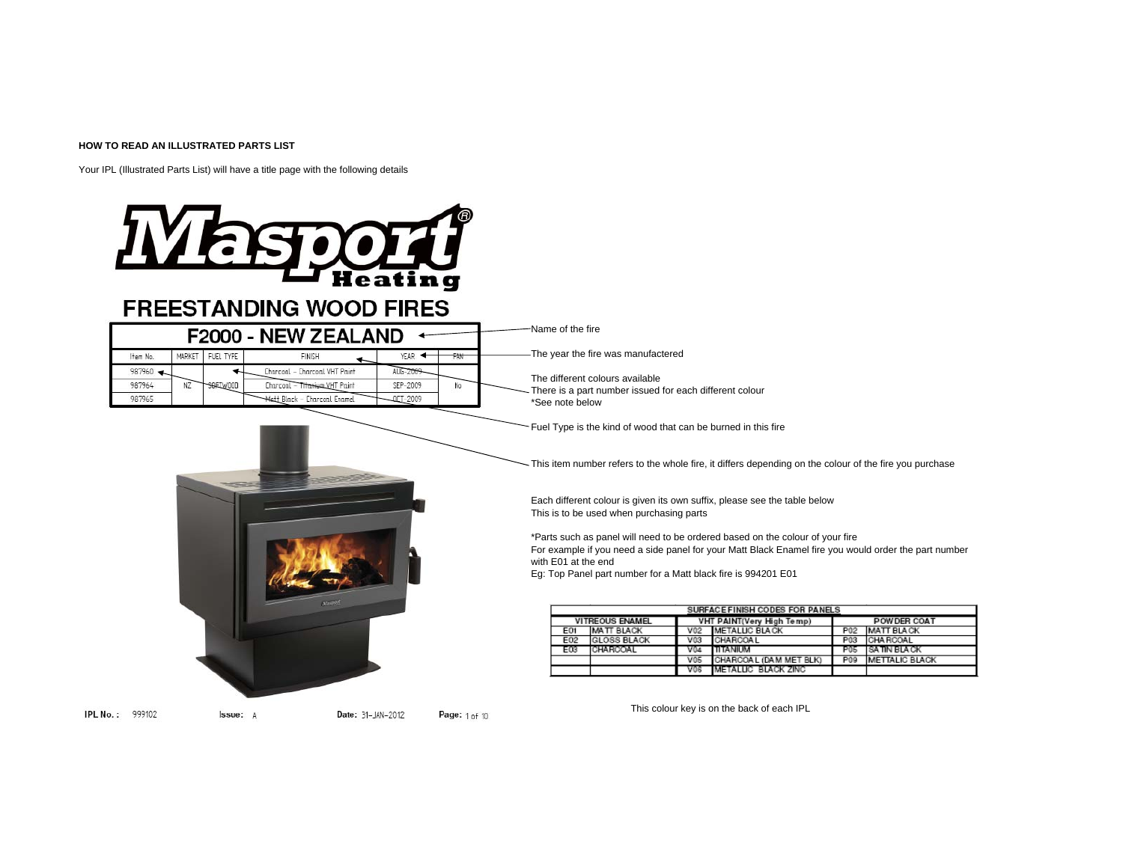### **HOW TO READ AN ILLUSTRATED PARTS LIST**

Your IPL (Illustrated Parts List) will have a title page with the following details

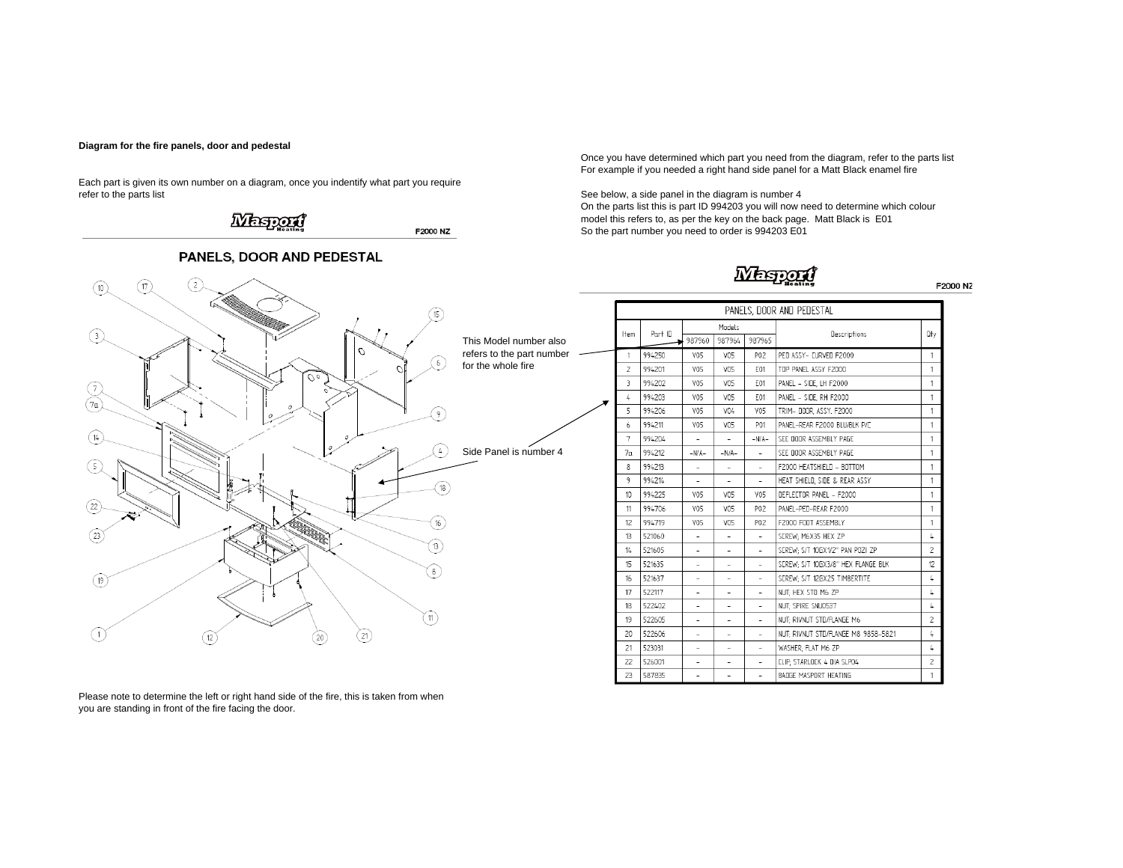### **Diagram for the fire panels, door and pedestal**

Each part is given its own number on a diagram, once you indentify what part you require refer to the parts list sum the diagram is number 4



Once you have determined which part you need from the diagram, refer to the parts list For example if you needed a right hand side panel for a Matt Black enamel fire

On the parts list this is part ID 994203 you will now need to determine which colour model this refers to, as per the key on the back page. Matt Black is E01 So the part number you need to order is 994203 E01

## **Mesport**

|                           | PANELS, DOOR AND PEDESTAL |                          |                          |                          |                                       |                          |  |  |
|---------------------------|---------------------------|--------------------------|--------------------------|--------------------------|---------------------------------------|--------------------------|--|--|
| Models<br>Part ID<br>Item |                           |                          | Oty                      |                          |                                       |                          |  |  |
|                           |                           | 987960                   | 987964                   | 987965                   | Descriptions                          |                          |  |  |
| 1                         | 994250                    | VO5                      | VO5                      | P02                      | PED ASSY- EURVED F2000                | 1                        |  |  |
| $\overline{c}$            | 994201                    | V05                      | VO5                      | E01                      | TOP PANEL ASSY F2000                  | 1                        |  |  |
| 3                         | 994202                    | V05                      | VO5                      | F01                      | PANEL - SIDE, LH F2000                | 1                        |  |  |
| 4                         | 994203                    | V05                      | VO5                      | E01                      | PANEL - SIDE. RH F2000                | 1                        |  |  |
| 5                         | 994206                    | V05                      | V04                      | V05                      | TRIM- DOOR, ASSY, F2000               | 1                        |  |  |
| 6                         | 994211                    | V05                      | VO5                      | P01                      | PANEL-REAR F2000 BLU/BLK P/C          | 1                        |  |  |
| 7                         | 994204                    | $\sim$                   | $\sim$                   | $-N/A-$                  | SEE DOOR ASSEMBLY PAGE                | 1                        |  |  |
| 7n                        | 994212                    | $-N/A-$                  | $-N/A-$                  | $\overline{a}$           | SEE DOOR ASSEMBLY PAGE                | 1                        |  |  |
| 8                         | 994213                    | ٠                        | ٠                        |                          | F2000 HEATSHIELD - BOTTOM             | 1                        |  |  |
| 9                         | 994214                    | ٠                        | ٠                        | ٠                        | HEAT SHIELD, SIDE & REAR ASSY         | 1                        |  |  |
| 10                        | 994225                    | V05                      | VO5                      | V05                      | <b><i>DEELECTOR PANEL - E2000</i></b> | 1                        |  |  |
| 11                        | 994706                    | V05                      | VO5                      | P02                      | PANEL-PED-REAR F2000                  | 1                        |  |  |
| 12                        | 994719                    | V05                      | VO5                      | P02                      | F2000 FOOT ASSEMBLY                   | 1                        |  |  |
| 13                        | 521060                    | $\overline{\phantom{a}}$ | $\overline{\phantom{0}}$ | $\overline{a}$           | SEREW: M6X35 HEX ZP                   | 4                        |  |  |
| 14                        | 521605                    | ٠                        | ۰                        | $\overline{a}$           | SEREW: S/T 10GX1/2" PAN POZI ZP       | 2                        |  |  |
| 15                        | 521635                    |                          | ۰                        | $\overline{a}$           | SEREW: S/T 10GX3/8" HEX FLANGE BLK    | 12                       |  |  |
| 16 <sub>1</sub>           | 521637                    | ۰                        | ۰                        | ÷,                       | SEREW: S/T 12GX25 TIMBERTITE          | 4                        |  |  |
| 17                        | 522117                    | $\bar{ }$                | $\overline{\phantom{m}}$ | ٠                        | NUT: HEX STD M6 ZP                    | 4                        |  |  |
| 18                        | 522402                    |                          | $\overline{\phantom{0}}$ | $\overline{\phantom{0}}$ | NUT: SPIRE SNU0537                    | L                        |  |  |
| 19                        | 522605                    |                          |                          |                          | NUT: RIVNUT STD/FLANGE M6             | $\overline{\phantom{a}}$ |  |  |
| 20                        | 522606                    | ۰                        | ٠                        | ٠                        | NUT: RIVNUT STD/FLANGE M8 9858-5821   | L                        |  |  |
| 21                        | 523031                    | ۰                        | ۰                        | ٠                        | WASHER: FLAT M6 ZP                    | 4                        |  |  |
| 22                        | 526001                    | ٠                        | ٠                        |                          | CLIP: STARLOCK 4 DIA SLP04            | 2                        |  |  |
| 23                        | 587835                    | ٠                        | $\overline{\phantom{a}}$ | ٠                        | BADGE MASPORT HEATING                 | 1                        |  |  |

Please note to determine the left or right hand side of the fire, this is taken from when you are standing in front of the fire facing the door.

#### F2000 NZ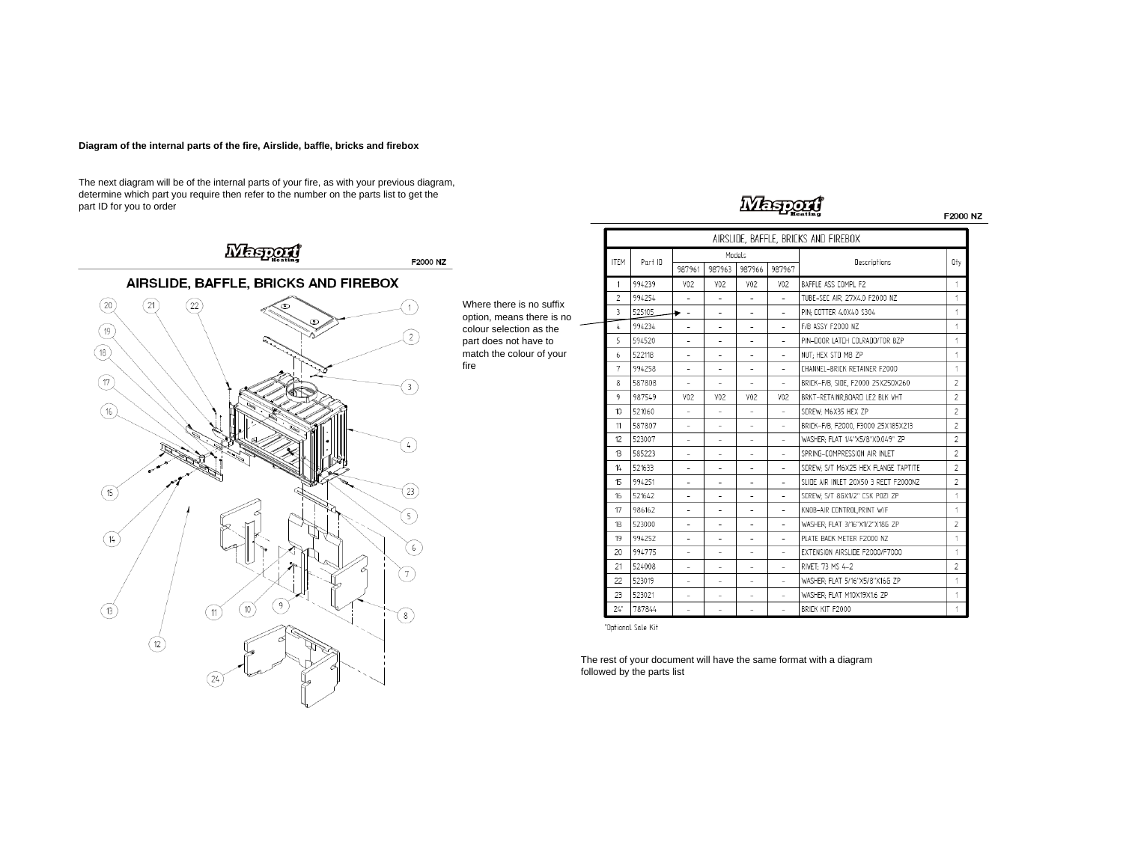### **Diagram of the internal parts of the fire, Airslide, baffle, bricks and firebox**

The next diagram will be of the internal parts of your fire, as with your previous diagram, determine which part you require then refer to the number on the parts list to get the part ID for you to order



Where there is no suffix option, means there is no colour selection as the part does not have to match the colour of your fire

|                          |         |                          |                          | Models                   |                          | AIRSLIDE, BAFFLE, BRICKS AND FIREBOX |  |  |
|--------------------------|---------|--------------------------|--------------------------|--------------------------|--------------------------|--------------------------------------|--|--|
| <b>ITEM</b>              | Part ID | 987961                   | 987963                   | 987966                   | 987967                   | Descriptions                         |  |  |
| 1                        | 994239  | VO <sub>2</sub>          | V02                      | V02                      | V02                      | BAFFLE ASS COMPL F2                  |  |  |
| $\overline{\phantom{a}}$ | 994254  |                          |                          |                          |                          | TUBE-SEC AIR, 27X4.0 F2000 NZ        |  |  |
| З                        | 525105  | $\overline{\phantom{a}}$ | ÷                        | ٠                        | ٠                        | PIN: COTTER 4.0X40 S304              |  |  |
| 4                        | 994234  | $\sim$                   | $\overline{\phantom{a}}$ | ٠                        |                          | F/B ASSY F2000 NZ                    |  |  |
| 5                        | 594520  |                          |                          |                          |                          | PIN-DOOR LATCH COLRADO/TOR BZP       |  |  |
| 6                        | 522118  | ۰                        | ٠                        | ۰                        | $\overline{\phantom{a}}$ | NUT: HEX STD M8 ZP                   |  |  |
| $\overline{7}$           | 994258  |                          |                          |                          |                          | <b>FHANNEL-BRIFK RETAINER E2000</b>  |  |  |
| 8                        | 587808  | ۰                        | ÷                        | ۰                        | ۰                        | BRICK-F/B. SIDE. F2000 25X250X260    |  |  |
| 9                        | 987549  | V <sub>02</sub>          | V <sub>02</sub>          | V02                      | V02                      | BRKT-RETAINR.BOARD LE2 BLK VHT       |  |  |
| 10                       | 521060  |                          |                          |                          | ÷                        | SEREW: M6X35 HEX ZP                  |  |  |
| 11                       | 587807  | ٠                        | ٠                        | ٠                        | $\overline{a}$           | BRIEK-F/B, F2000, F3000 25X185X213   |  |  |
| 12                       | 523007  |                          |                          |                          |                          | WASHER: FLAT 1/4"X5/8"X0.049" ZP     |  |  |
| 13                       | 585223  | $\overline{\phantom{a}}$ | ٠                        | $\overline{a}$           | ÷.                       | SPRING-COMPRESSION AIR INLET         |  |  |
| 14                       | 521633  | ×.                       | ÷                        | $\overline{\phantom{a}}$ | ۰                        | SEREW: S/T M6X25 HEX FLANGE TAPTITE  |  |  |
| 15                       | 994251  |                          |                          |                          |                          | SLIDE AIR INLET 20X50 3 RECT F2000NZ |  |  |
| 16                       | 521642  | ٠                        | ۰                        | $\overline{\phantom{a}}$ | -                        | SEREW: S/T 8GX1/2" ESK POZI ZP       |  |  |
| 17                       | 986162  | $\overline{\phantom{0}}$ | $\overline{a}$           |                          | $\overline{a}$           | KNOB-AIR CONTROLPRINT W/F            |  |  |
| 18                       | 523000  | ٠                        | ٠                        | ٠                        | ÷.                       | WASHER: FLAT 3/16"X1/2"X18G ZP       |  |  |
| 19                       | 994252  |                          |                          | $\overline{\phantom{a}}$ |                          | PLATE BACK METER F2000 NZ            |  |  |
| 20                       | 994775  |                          |                          |                          |                          | EXTENSION AIRSLIDE F2000/F7000       |  |  |
| 21                       | 524008  | $\overline{\phantom{0}}$ | $\overline{\phantom{0}}$ | $\overline{\phantom{a}}$ | ٠                        | RIVET; 73 MS 4-2                     |  |  |
| 22                       | 523019  | $\overline{a}$           | ٠                        | $\overline{a}$           | $\overline{a}$           | WASHER: FLAT 5/16"X5/8"X16G ZP       |  |  |
| 23                       | 523021  |                          |                          |                          |                          | WASHER: FLAT M10X19X1.6 ZP           |  |  |
| $24^{\circ}$             | 787844  | ۰                        | ۰                        | $\overline{\phantom{a}}$ | $\overline{a}$           | BRICK KIT F2000                      |  |  |

**Mestoni** 

"Optional Sale Kit

The rest of your document will have the same format with a diagram followed by the parts list

F2000 NZ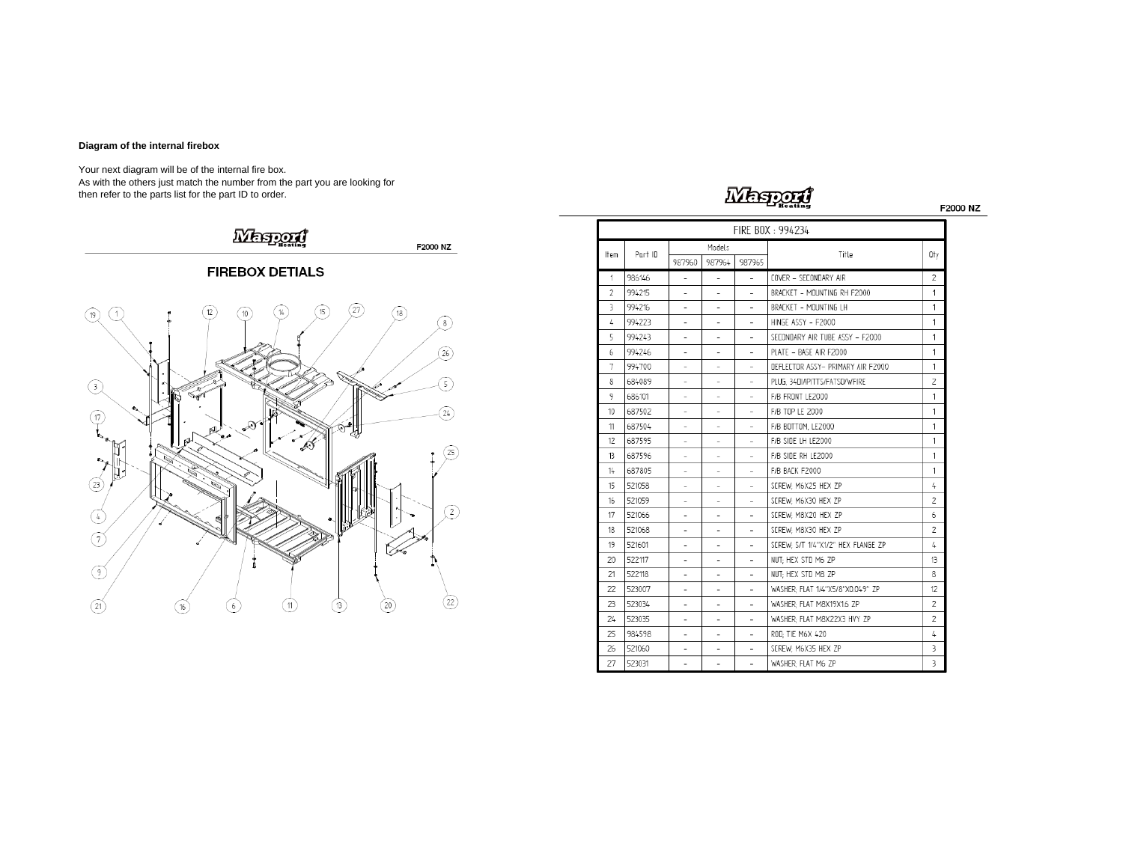### **Diagram of the internal firebox**

Your next diagram will be of the internal fire box. As with the others just match the number from the part you are looking for then refer to the parts list for the part ID to order.



# Wespan

F2000 NZ

|      | FIRE BOX: 994234 |                          |                          |                          |                                               |     |  |  |  |  |
|------|------------------|--------------------------|--------------------------|--------------------------|-----------------------------------------------|-----|--|--|--|--|
| Item | Part ID          | Models                   |                          |                          | Title                                         | 0ty |  |  |  |  |
|      |                  | 987960                   | 987964                   | 987965                   |                                               |     |  |  |  |  |
| 1    | 986146           | ÷,                       | ÷.                       | ÷.                       | COVER - SECONDARY AIR                         | 2   |  |  |  |  |
| 2    | 994215           |                          |                          |                          | BRACKET - MOUNTING RH F2000                   | 1   |  |  |  |  |
| 3    | 994216           | $\overline{a}$           | ۰                        | $\equiv$                 | BRACKET - MOUNTING LH                         | 1   |  |  |  |  |
| L    | 994223           | ÷,                       | $\overline{\phantom{0}}$ | ÷.                       | HINGE ASSY - F2000                            | 1   |  |  |  |  |
| 5    | 994243           | L.                       |                          |                          | SECONDARY AIR TUBE ASSY - F2000               | 1   |  |  |  |  |
| 6    | 994246           | $\overline{a}$           | $\overline{\phantom{0}}$ | ٠                        | PLATE - BASE AIR F2000                        | 1   |  |  |  |  |
| 7    | 994700           |                          |                          |                          | DEFLECTOR ASSY- PRIMARY AIR F2000             | 1   |  |  |  |  |
| 8    | 684089           | -                        |                          | $\overline{\phantom{0}}$ | PLUG. 34DIAPITTS/FATSO/WFIRE                  | 2   |  |  |  |  |
| 9    | 686101           | ۰                        |                          | L.                       | F/B FRONT LE2000                              | 1   |  |  |  |  |
| 10   | 687502           | $\overline{a}$           | ۰                        | ä,                       | F/B TOP LE 2000                               |     |  |  |  |  |
| 11   | 687504           | $\overline{\phantom{a}}$ | ٠                        | ۰                        | F/B BOTTOM. LE2000                            |     |  |  |  |  |
| 12   | 687595           |                          |                          |                          | F/B SIDE LH LE2000                            |     |  |  |  |  |
| 13   | 687596           | ٠                        | ٠                        | ٠                        | F/B SIDE RH LE2000                            |     |  |  |  |  |
| 14   | 687805           | $\overline{a}$           |                          | ٠                        | F/B BACK F2000                                |     |  |  |  |  |
| 15   | 521058           | $\overline{a}$           | $\overline{\phantom{0}}$ | $\overline{a}$           | SCREW: M6X25 HEX ZP                           |     |  |  |  |  |
| 16   | 521059           | L.                       |                          | $\overline{a}$           | 2<br>SCREW: M6X30 HEX ZP                      |     |  |  |  |  |
| 17   | 521066           | L                        |                          | ۳                        | SCREW: M8X20 HEX ZP<br>6                      |     |  |  |  |  |
| 18   | 521068           | $\overline{a}$           | ٠                        | $\bar{ }$                | 2<br>SCREW: M8X30 HEX ZP                      |     |  |  |  |  |
| 19   | 521601           | L,                       | ٠                        |                          | SEREW: S/T 1/4"X1/2" HEX FLANGE ZP            | 4   |  |  |  |  |
| 20   | 522117           | i.                       | $\overline{\phantom{0}}$ | $\overline{\phantom{a}}$ | NUT: HEX STD M6 ZP                            | 13  |  |  |  |  |
| 21   | 522118           | ÷                        |                          | ÷.                       | NUT: HEX STD M8 ZP<br>8                       |     |  |  |  |  |
| 22   | 523007           | $\overline{a}$           |                          | ۰                        | WASHER: FLAT 1/4"X5/8"X0.049" ZP<br>$12^{12}$ |     |  |  |  |  |
| 23   | 523034           | $\overline{a}$           | ۰                        | $\overline{\phantom{a}}$ | WASHER: FLAT M8X19X1.6 ZP                     |     |  |  |  |  |
| 24   | 523035           | ۰                        |                          | ۳                        | WASHER: FLAT M8X22X3 HVY ZP                   |     |  |  |  |  |
| 25   | 984598           | ۰                        | ۰                        | $\equiv$                 | ROD: TIE M6X 420                              |     |  |  |  |  |
| 26   | 521060           | $\overline{\phantom{a}}$ |                          | ÷                        | SCREW: M6X35 HEX ZP<br>3                      |     |  |  |  |  |
| 27   | 523031           | L,                       | ä,                       | L,                       | WASHER: FLAT M6 ZP                            | 3   |  |  |  |  |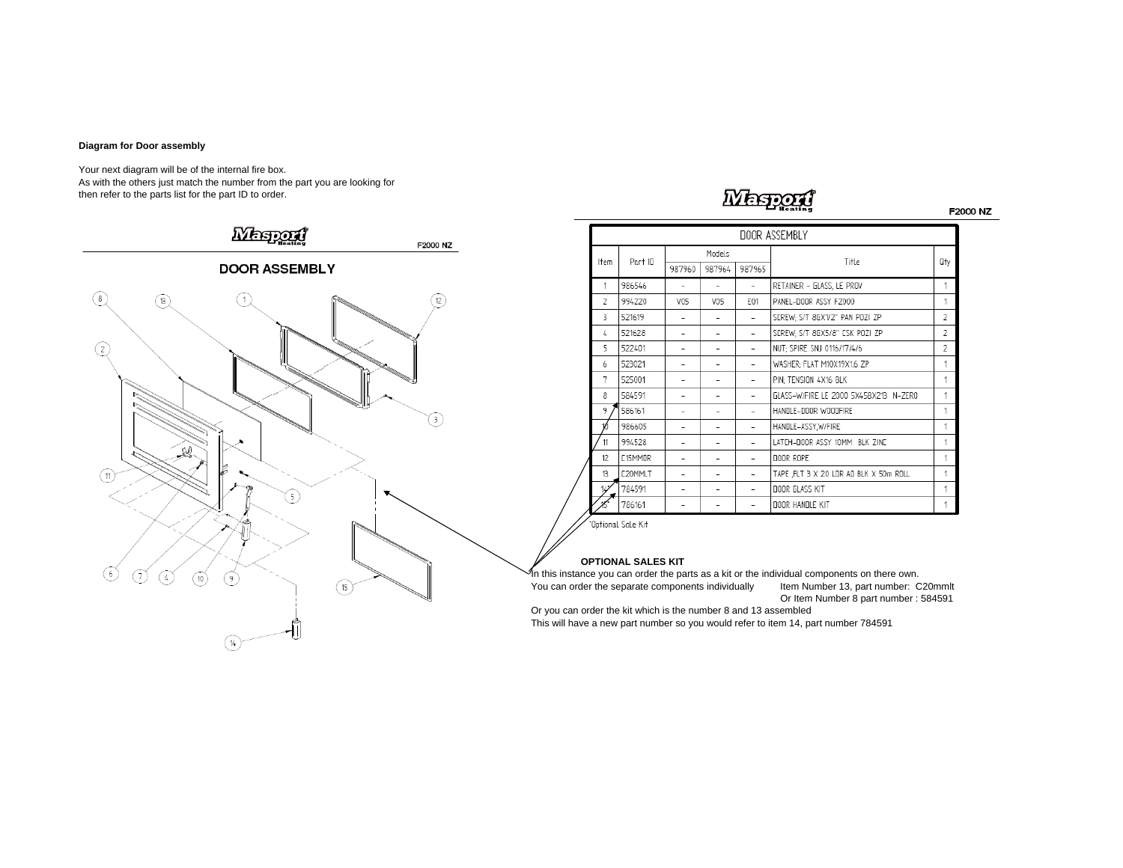### **Diagram for Door assembly**

Your next diagram will be of the internal fire box. As with the others just match the number from the part you are looking for then refer to the parts list for the part ID to order.



### **Messon**

F2000 NZ

|               | DOOR ASSEMBLY  |                          |                          |        |                                        |                |  |  |  |  |
|---------------|----------------|--------------------------|--------------------------|--------|----------------------------------------|----------------|--|--|--|--|
| ltem          | Part ID        | Models                   |                          |        | Title                                  | 0ty            |  |  |  |  |
|               |                | 987960                   | 987964                   | 987965 |                                        |                |  |  |  |  |
| 1             | 986546         |                          |                          |        | RETAINER - GLASS, LE PROV              | 1              |  |  |  |  |
| $\mathcal{P}$ | 994220         | V05                      | V05                      | F01    | PANEL-DOOR ASSY F2000                  | 1              |  |  |  |  |
| 3             | 521619         |                          |                          |        | SCREW; S/T 8GX1/2" PAN POZI ZP         | $\overline{2}$ |  |  |  |  |
| 4             | 521628         | $\overline{\phantom{0}}$ |                          |        | SCREW; S/T 8GX5/8" CSK POZI ZP         | $\overline{2}$ |  |  |  |  |
| 5             | 522401         | $\overline{\phantom{0}}$ |                          |        | NUT: SPIRE SNJ 0116/17/4/6             | 2              |  |  |  |  |
| 6             | 523021         |                          |                          |        | WASHER: FLAT M10X19X1.6 ZP             | 1              |  |  |  |  |
| 7             | 525001         |                          | $\overline{\phantom{0}}$ |        | PIN; TENSION 4X16 BLK                  | 1              |  |  |  |  |
| 8             | 584591         | -                        | ٠                        |        | GLASS-W/FIRE LE 2000 5X458X213 N-ZERO  | 1              |  |  |  |  |
| 9             | 586161         |                          |                          |        | HANDLE-DOOR WOODFIRE                   | 1              |  |  |  |  |
|               | 986605         |                          |                          |        | HANDLE-ASSY, W/FIRE                    | 1              |  |  |  |  |
| 11            | 994528         |                          |                          |        | LATCH-DOOR ASSY 10MM BLK ZINC          | 1              |  |  |  |  |
| 12            | <b>F15MMNR</b> |                          |                          |        | DOOR ROPE                              | 1              |  |  |  |  |
| 13            | E20MMLT        |                          |                          |        | TAPE ,FLT 3 X 20 LDR AD BLK X 50m ROLL | 1              |  |  |  |  |
| 14            | 784591         |                          |                          |        | DOOR GLASS KIT                         | 1              |  |  |  |  |
|               | 786161         |                          |                          |        | DOOR HANDLE KIT                        |                |  |  |  |  |

"Optional Sale Kit

### **OPTIONAL SALES KIT**

r<br>In this instance you can order the parts as a kit or the individual components on there own. You can order the separate components individually Item Number 13, part number: C20mmlt

Or Item Number 8 part number : 584591

Or you can order the kit which is the number 8 and 13 assembled This will have a new part number so you would refer to item 14, part number 784591